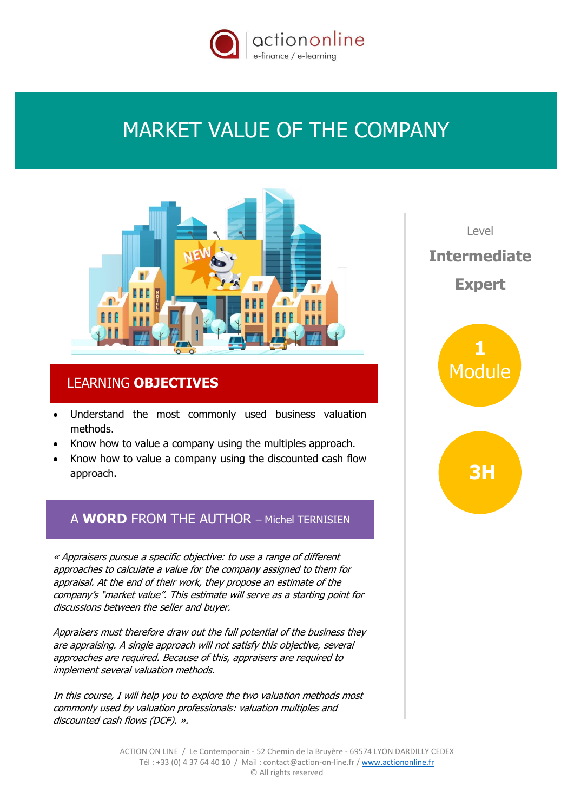

# MARKET VALUE OF THE COMPANY



## LEARNING **OBJECTIVES**

- Understand the most commonly used business valuation methods.
- Know how to value a company using the multiples approach.
- Know how to value a company using the discounted cash flow approach.

# A **WORD** FROM THE AUTHOR – Michel TERNISIEN

« Appraisers pursue a specific objective: to use a range of different approaches to calculate a value for the company assigned to them for appraisal. At the end of their work, they propose an estimate of the company's "market value". This estimate will serve as a starting point for discussions between the seller and buyer.

Appraisers must therefore draw out the full potential of the business they are appraising. A single approach will not satisfy this objective, several approaches are required. Because of this, appraisers are required to implement several valuation methods.

In this course, I will help you to explore the two valuation methods most commonly used by valuation professionals: valuation multiples and discounted cash flows (DCF). ».

 $|P(X|)$ **Intermediate Expert**

> **1** Module

> > **3H**